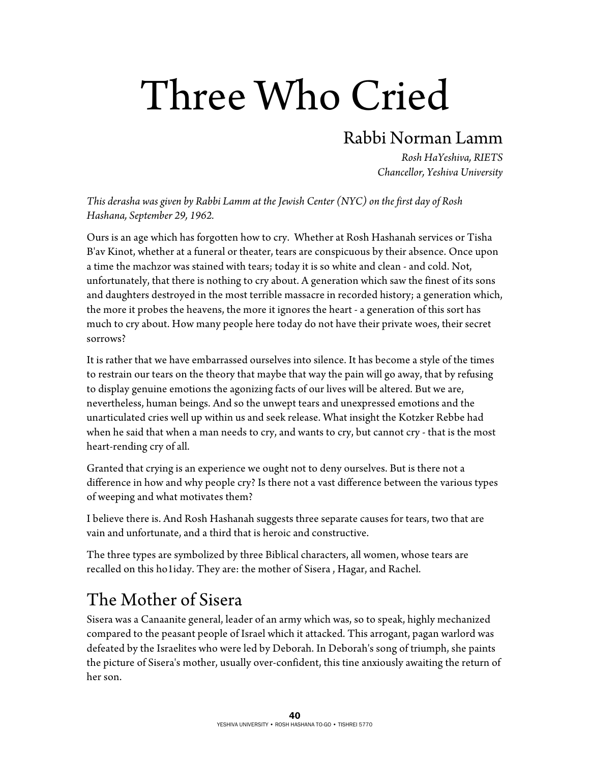# Three Who Cried

### Rabbi Norman Lamm

*Rosh HaYeshiva, RIETS Chancellor, Yeshiva University* 

*This derasha was given by Rabbi Lamm at the Jewish Center (NYC) on the first day of Rosh Hashana, September 29, 1962.* 

Ours is an age which has forgotten how to cry. Whether at Rosh Hashanah services or Tisha B'av Kinot, whether at a funeral or theater, tears are conspicuous by their absence. Once upon a time the machzor was stained with tears; today it is so white and clean - and cold. Not, unfortunately, that there is nothing to cry about. A generation which saw the finest of its sons and daughters destroyed in the most terrible massacre in recorded history; a generation which, the more it probes the heavens, the more it ignores the heart - a generation of this sort has much to cry about. How many people here today do not have their private woes, their secret sorrows?

It is rather that we have embarrassed ourselves into silence. It has become a style of the times to restrain our tears on the theory that maybe that way the pain will go away, that by refusing to display genuine emotions the agonizing facts of our lives will be altered. But we are, nevertheless, human beings. And so the unwept tears and unexpressed emotions and the unarticulated cries well up within us and seek release. What insight the Kotzker Rebbe had when he said that when a man needs to cry, and wants to cry, but cannot cry - that is the most heart-rending cry of all.

Granted that crying is an experience we ought not to deny ourselves. But is there not a difference in how and why people cry? Is there not a vast difference between the various types of weeping and what motivates them?

I believe there is. And Rosh Hashanah suggests three separate causes for tears, two that are vain and unfortunate, and a third that is heroic and constructive.

The three types are symbolized by three Biblical characters, all women, whose tears are recalled on this ho1iday. They are: the mother of Sisera , Hagar, and Rachel.

# The Mother of Sisera

Sisera was a Canaanite general, leader of an army which was, so to speak, highly mechanized compared to the peasant people of Israel which it attacked. This arrogant, pagan warlord was defeated by the Israelites who were led by Deborah. In Deborah's song of triumph, she paints the picture of Sisera's mother, usually over-confident, this tine anxiously awaiting the return of her son.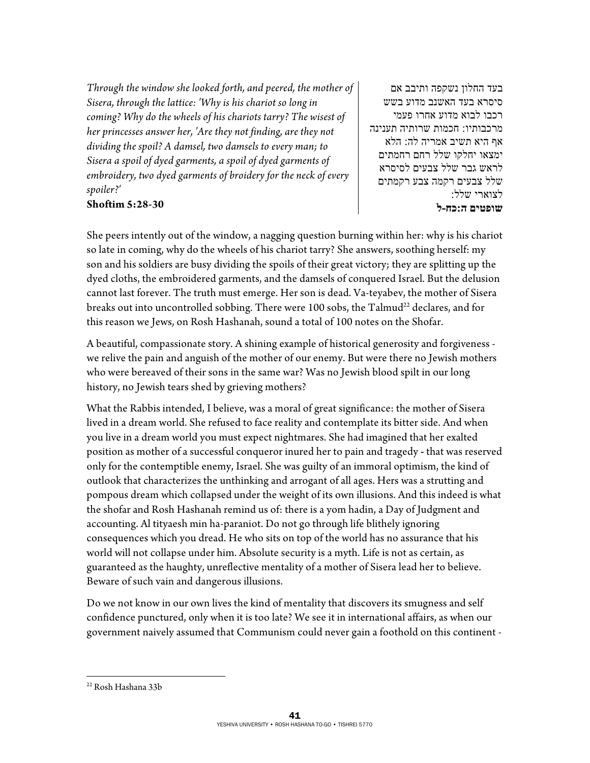*Through the window she looked forth, and peered, the mother of Sisera, through the lattice: 'Why is his chariot so long in coming? Why do the wheels of his chariots tarry? The wisest of her princesses answer her, 'Are they not finding, are they not dividing the spoil? A damsel, two damsels to every man; to Sisera a spoil of dyed garments, a spoil of dyed garments of embroidery, two dyed garments of broidery for the neck of every spoiler?'* 

#### **Shoftim 5:28-30**

בעד החלון נשקפה ותיבב אם סיסרא בעד האשנב מדוע בשש רכבו לבוא מדוע אחרו פעמי מרכבותיו: חכמות שרותיה תענינה אף היא תשיב אמריה לה: הלא ימצאו יחלקו שלל רחם רחמתים לראש גבר שלל צבעים לסיסרא שלל צבעים רקמה צבע רקמתים לצוארי שלל: **שופטים ה:כח- ל**

She peers intently out of the window, a nagging question burning within her: why is his chariot so late in coming, why do the wheels of his chariot tarry? She answers, soothing herself: my son and his soldiers are busy dividing the spoils of their great victory; they are splitting up the dyed cloths, the embroidered garments, and the damsels of conquered Israel. But the delusion cannot last forever. The truth must emerge. Her son is dead. Va-teyabev, the mother of Sisera breaks out into uncontrolled sobbing. There were 100 sobs, the Talmud<sup>22</sup> declares, and for this reason we Jews, on Rosh Hashanah, sound a total of 100 notes on the Shofar.

A beautiful, compassionate story. A shining example of historical generosity and forgiveness we relive the pain and anguish of the mother of our enemy. But were there no Jewish mothers who were bereaved of their sons in the same war? Was no Jewish blood spilt in our long history, no Jewish tears shed by grieving mothers?

What the Rabbis intended, I believe, was a moral of great significance: the mother of Sisera lived in a dream world. She refused to face reality and contemplate its bitter side. And when you live in a dream world you must expect nightmares. She had imagined that her exalted position as mother of a successful conqueror inured her to pain and tragedy **-** that was reserved only for the contemptible enemy, Israel. She was guilty of an immoral optimism, the kind of outlook that characterizes the unthinking and arrogant of all ages. Hers was a strutting and pompous dream which collapsed under the weight of its own illusions. And this indeed is what the shofar and Rosh Hashanah remind us of: there is a yom hadin, a Day of Judgment and accounting. Al tityaesh min ha-paraniot. Do not go through life blithely ignoring consequences which you dread. He who sits on top of the world has no assurance that his world will not collapse under him. Absolute security is a myth. Life is not as certain, as guaranteed as the haughty, unreflective mentality of a mother of Sisera lead her to believe. Beware of such vain and dangerous illusions.

Do we not know in our own lives the kind of mentality that discovers its smugness and self confidence punctured, only when it is too late? We see it in international affairs, as when our government naively assumed that Communism could never gain a foothold on this continent -

 $\overline{a}$ 

<sup>22</sup> Rosh Hashana 33b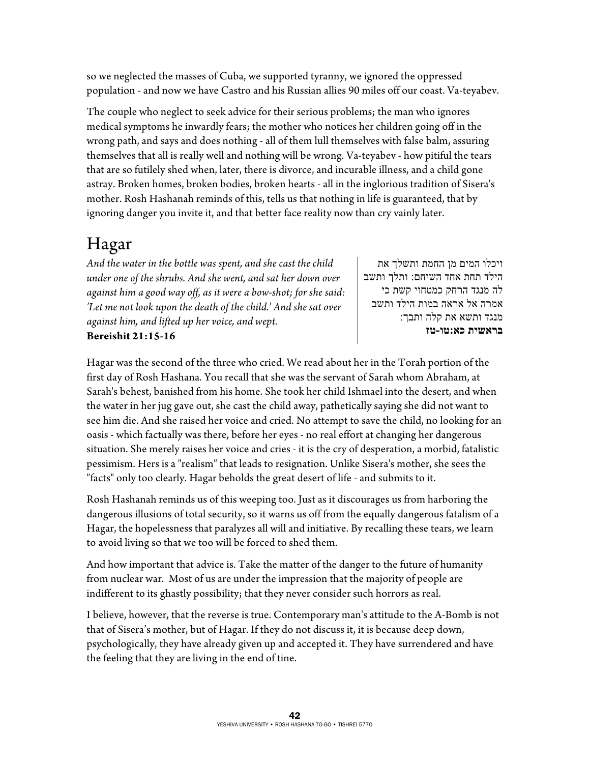so we neglected the masses of Cuba, we supported tyranny, we ignored the oppressed population - and now we have Castro and his Russian allies 90 miles off our coast. Va-teyabev.

The couple who neglect to seek advice for their serious problems; the man who ignores medical symptoms he inwardly fears; the mother who notices her children going off in the wrong path, and says and does nothing - all of them lull themselves with false balm, assuring themselves that all is really well and nothing will be wrong. Va-teyabev - how pitiful the tears that are so futilely shed when, later, there is divorce, and incurable illness, and a child gone astray. Broken homes, broken bodies, broken hearts - all in the inglorious tradition of Sisera's mother. Rosh Hashanah reminds of this, tells us that nothing in life is guaranteed, that by ignoring danger you invite it, and that better face reality now than cry vainly later.

## Hagar

*And the water in the bottle was spent, and she cast the child under one of the shrubs. And she went, and sat her down over against him a good way off, as it were a bow-shot; for she said: 'Let me not look upon the death of the child.' And she sat over against him, and lifted up her voice, and wept.*  **Bereishit 21:15-16** 

ויכלו המים מן החמת ותשלך את הילד תחת אחד השיחם: ותלך ותשב לה מנגד הרחק כמטחוי קשת כי אמרה אל אראה במות הילד ותשב מנגד ותשא את קלה ותבך: **בראשית כא:טו- טז**

Hagar was the second of the three who cried. We read about her in the Torah portion of the first day of Rosh Hashana. You recall that she was the servant of Sarah whom Abraham, at Sarah's behest, banished from his home. She took her child Ishmael into the desert, and when the water in her jug gave out, she cast the child away, pathetically saying she did not want to see him die. And she raised her voice and cried. No attempt to save the child, no looking for an oasis - which factually was there, before her eyes - no real effort at changing her dangerous situation. She merely raises her voice and cries - it is the cry of desperation, a morbid, fatalistic pessimism. Hers is a "realism" that leads to resignation. Unlike Sisera's mother, she sees the "facts" only too clearly. Hagar beholds the great desert of life - and submits to it.

Rosh Hashanah reminds us of this weeping too. Just as it discourages us from harboring the dangerous illusions of total security, so it warns us off from the equally dangerous fatalism of a Hagar, the hopelessness that paralyzes all will and initiative. By recalling these tears, we learn to avoid living so that we too will be forced to shed them.

And how important that advice is. Take the matter of the danger to the future of humanity from nuclear war. Most of us are under the impression that the majority of people are indifferent to its ghastly possibility; that they never consider such horrors as real.

I believe, however, that the reverse is true. Contemporary man's attitude to the A-Bomb is not that of Sisera's mother, but of Hagar. If they do not discuss it, it is because deep down, psychologically, they have already given up and accepted it. They have surrendered and have the feeling that they are living in the end of tine.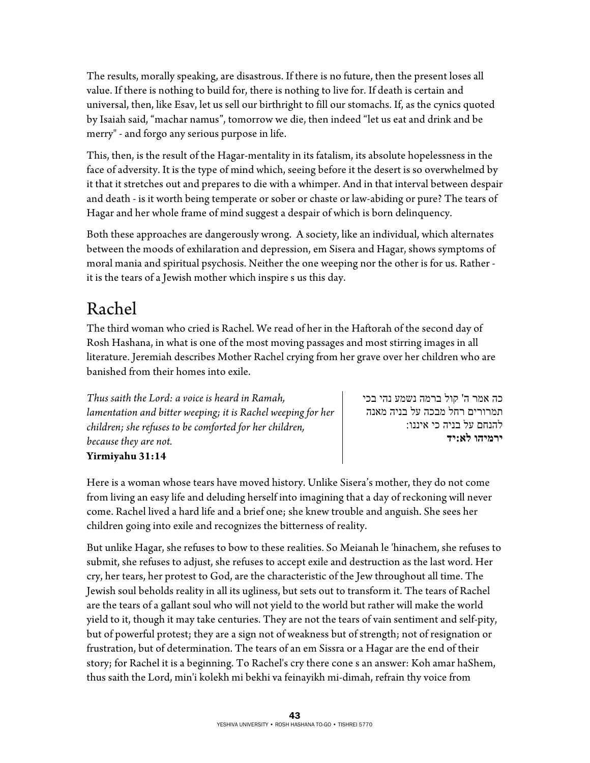The results, morally speaking, are disastrous. If there is no future, then the present loses all value. If there is nothing to build for, there is nothing to live for. If death is certain and universal, then, like Esav, let us sell our birthright to fill our stomachs. If, as the cynics quoted by Isaiah said, "machar namus", tomorrow we die, then indeed "let us eat and drink and be merry" - and forgo any serious purpose in life.

This, then, is the result of the Hagar-mentality in its fatalism, its absolute hopelessness in the face of adversity. It is the type of mind which, seeing before it the desert is so overwhelmed by it that it stretches out and prepares to die with a whimper. And in that interval between despair and death - is it worth being temperate or sober or chaste or law-abiding or pure? The tears of Hagar and her whole frame of mind suggest a despair of which is born delinquency.

Both these approaches are dangerously wrong. A society, like an individual, which alternates between the moods of exhilaration and depression, em Sisera and Hagar, shows symptoms of moral mania and spiritual psychosis. Neither the one weeping nor the other is for us. Rather it is the tears of a Jewish mother which inspire s us this day.

# Rachel

The third woman who cried is Rachel. We read of her in the Haftorah of the second day of Rosh Hashana, in what is one of the most moving passages and most stirring images in all literature. Jeremiah describes Mother Rachel crying from her grave over her children who are banished from their homes into exile.

| Thus saith the Lord: a voice is heard in Ramah,              | כה אמר ה' קול ברמה נשמע נהי בכי |
|--------------------------------------------------------------|---------------------------------|
| lamentation and bitter weeping; it is Rachel weeping for her | תמרורים רחל מבכה על בניה מאנה   |
| children; she refuses to be comforted for her children,      | להנחם על בניה כי איננו:         |
| because they are not.                                        | ירמיהו לא:יד                    |
| Yirmiyahu 31:14                                              |                                 |

Here is a woman whose tears have moved history. Unlike Sisera's mother, they do not come from living an easy life and deluding herself into imagining that a day of reckoning will never come. Rachel lived a hard life and a brief one; she knew trouble and anguish. She sees her children going into exile and recognizes the bitterness of reality.

But unlike Hagar, she refuses to bow to these realities. So Meianah le 'hinachem, she refuses to submit, she refuses to adjust, she refuses to accept exile and destruction as the last word. Her cry, her tears, her protest to God, are the characteristic of the Jew throughout all time. The Jewish soul beholds reality in all its ugliness, but sets out to transform it. The tears of Rachel are the tears of a gallant soul who will not yield to the world but rather will make the world yield to it, though it may take centuries. They are not the tears of vain sentiment and self-pity, but of powerful protest; they are a sign not of weakness but of strength; not of resignation or frustration, but of determination. The tears of an em Sissra or a Hagar are the end of their story; for Rachel it is a beginning. To Rachel's cry there cone s an answer: Koh amar haShem, thus saith the Lord, min'i kolekh mi bekhi va feinayikh mi-dimah, refrain thy voice from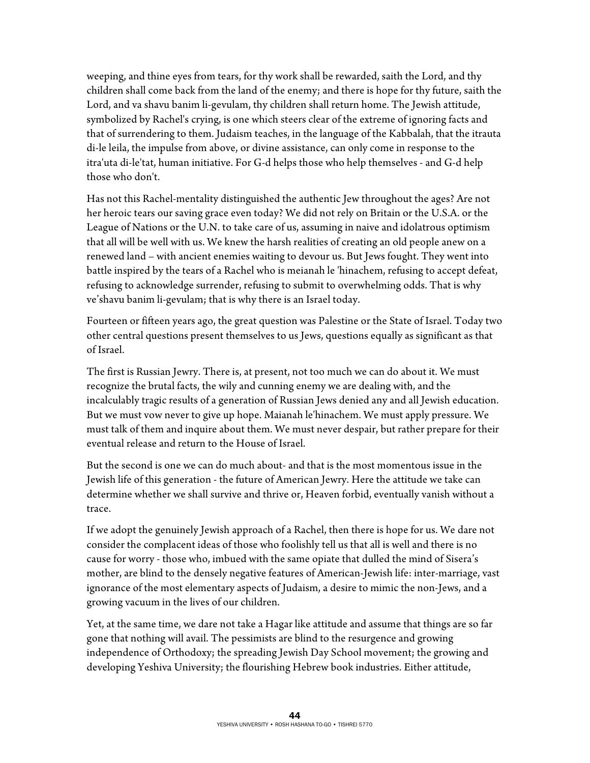weeping, and thine eyes from tears, for thy work shall be rewarded, saith the Lord, and thy children shall come back from the land of the enemy; and there is hope for thy future, saith the Lord, and va shavu banim li-gevulam, thy children shall return home. The Jewish attitude, symbolized by Rachel's crying, is one which steers clear of the extreme of ignoring facts and that of surrendering to them. Judaism teaches, in the language of the Kabbalah, that the itrauta di-le leila, the impulse from above, or divine assistance, can only come in response to the itra'uta di-le'tat, human initiative. For G-d helps those who help themselves - and G-d help those who don't.

Has not this Rachel-mentality distinguished the authentic Jew throughout the ages? Are not her heroic tears our saving grace even today? We did not rely on Britain or the U.S.A. or the League of Nations or the U.N. to take care of us, assuming in naive and idolatrous optimism that all will be well with us. We knew the harsh realities of creating an old people anew on a renewed land – with ancient enemies waiting to devour us. But Jews fought. They went into battle inspired by the tears of a Rachel who is meianah le 'hinachem, refusing to accept defeat, refusing to acknowledge surrender, refusing to submit to overwhelming odds. That is why ve'shavu banim li-gevulam; that is why there is an Israel today.

Fourteen or fifteen years ago, the great question was Palestine or the State of Israel. Today two other central questions present themselves to us Jews, questions equally as significant as that of Israel.

The first is Russian Jewry. There is, at present, not too much we can do about it. We must recognize the brutal facts, the wily and cunning enemy we are dealing with, and the incalculably tragic results of a generation of Russian Jews denied any and all Jewish education. But we must vow never to give up hope. Maianah le'hinachem. We must apply pressure. We must talk of them and inquire about them. We must never despair, but rather prepare for their eventual release and return to the House of Israel.

But the second is one we can do much about- and that is the most momentous issue in the Jewish life of this generation - the future of American Jewry. Here the attitude we take can determine whether we shall survive and thrive or, Heaven forbid, eventually vanish without a trace.

If we adopt the genuinely Jewish approach of a Rachel, then there is hope for us. We dare not consider the complacent ideas of those who foolishly tell us that all is well and there is no cause for worry - those who, imbued with the same opiate that dulled the mind of Sisera's mother, are blind to the densely negative features of American-Jewish life: inter-marriage, vast ignorance of the most elementary aspects of Judaism, a desire to mimic the non-Jews, and a growing vacuum in the lives of our children.

Yet, at the same time, we dare not take a Hagar like attitude and assume that things are so far gone that nothing will avail. The pessimists are blind to the resurgence and growing independence of Orthodoxy; the spreading Jewish Day School movement; the growing and developing Yeshiva University; the flourishing Hebrew book industries. Either attitude,